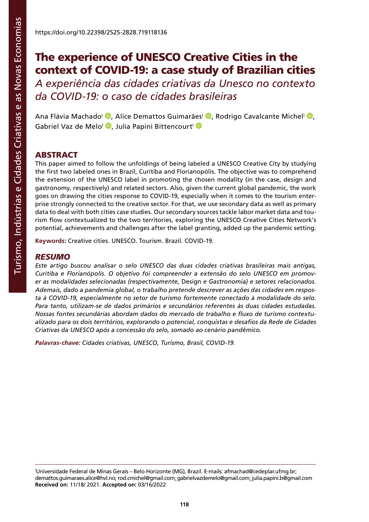# The experience of UNESCO Creative Cities in the context of COVID-19: a case study of Brazilian cities

*A experiência das cidades criativas da Unesco no contexto da COVID-19: o caso de cidades brasileiras*

Ana Flávia Machado<sup>i</sup> <sup>(b</sup>[,](http://orcid.org/0000-0002-8962-9715) Alice Demattos Guimarães<sup>i (b</sup>, Rodrigo Cavalcante Michel<sup>i (b</sup>, Gabriel Vaz de Melo<sup>I</sup> D[,](http://orcid.org/0000-0002-3323-8635) Julia Papini Bittencourt<sup>I</sup> D

### **ABSTRACT**

This paper aimed to follow the unfoldings of being labeled a UNESCO Creative City by studying the first two labeled ones in Brazil, Curitiba and Florianopólis. The objective was to comprehend the extension of the UNESCO label in promoting the chosen modality (in the case, design and gastronomy, respectively) and related sectors. Also, given the current global pandemic, the work goes on drawing the cities response to COVID-19, especially when it comes to the tourism enterprise strongly connected to the creative sector. For that, we use secondary data as well as primary data to deal with both cities case studies. Our secondary sources tackle labor market data and tourism flow contextualized to the two territories, exploring the UNESCO Creative Cities Network's potential, achievements and challenges after the label granting, added up the pandemic setting.

**Keywords:** Creative cities. UNESCO. Tourism. Brazil. COVID-19.

#### *RESUMO*

*Este artigo buscou analisar o selo UNESCO das duas cidades criativas brasileiras mais antigas, Curitiba e Florianópolis. O objetivo foi compreender a extensão do selo UNESCO em promover as modalidades selecionadas (respectivamente,* Design *e Gastronomia) e setores relacionados. Ademais, dado a pandemia global, o trabalho pretende descrever as ações das cidades em resposta à COVID-19, especialmente no setor de turismo fortemente conectado à modalidade do selo. Para tanto, utilizam-se de dados primários e secundários referentes às duas cidades estudadas. Nossas fontes secundárias abordam dados do mercado de trabalho e fluxo de turismo contextualizado para os dois territórios, explorando o potencial, conquistas e desafios da Rede de Cidades Criativas da UNESCO após a concessão do selo, somado ao cenário pandêmico.*

*Palavras-chave: Cidades criativas, UNESCO, Turismo, Brasil, COVID-19.*

I Universidade Federal de Minas Gerais – Belo Horizonte (MG), Brazil. E-mails: [afmachad@cedeplar.ufmg.br;](mailto:afmachad@cedeplar.ufmg.br) [demattos.guimaraes.alice@hvl.no;](mailto:demattos.guimaraes.alice@hvl.no) [rod.cmichel@gmail.com;](mailto:rod.cmichel@gmail.com) [gabrielvazdemelo@gmail.com](mailto:gabrielvazdemelo@gmail.com); [julia.papini.b@gmail.com](mailto:julia.papini.b@gmail.com) **Received on:** 11/18/ 2021. **Accepted on:** 03/16/2022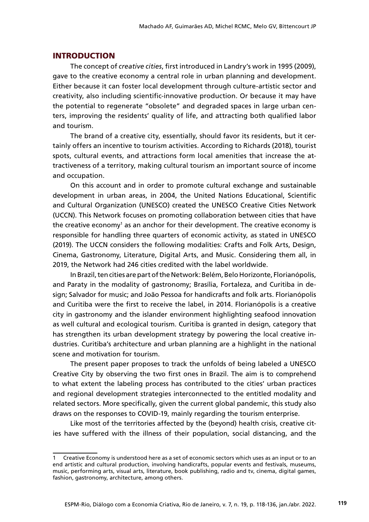#### INTRODUCTION

The concept of *creative cities*, first introduced in Landry's work in 1995 (2009), gave to the creative economy a central role in urban planning and development. Either because it can foster local development through culture-artistic sector and creativity, also including scientific-innovative production. Or because it may have the potential to regenerate "obsolete" and degraded spaces in large urban centers, improving the residents' quality of life, and attracting both qualified labor and tourism.

The brand of a creative city, essentially, should favor its residents, but it certainly offers an incentive to tourism activities. According to Richards (2018), tourist spots, cultural events, and attractions form local amenities that increase the attractiveness of a territory, making cultural tourism an important source of income and occupation.

On this account and in order to promote cultural exchange and sustainable development in urban areas, in 2004, the United Nations Educational, Scientific and Cultural Organization (UNESCO) created the UNESCO Creative Cities Network (UCCN). This Network focuses on promoting collaboration between cities that have the creative economy<sup>1</sup> as an anchor for their development. The creative economy is responsible for handling three quarters of economic activity, as stated in UNESCO (2019). The UCCN considers the following modalities: Crafts and Folk Arts, Design, Cinema, Gastronomy, Literature, Digital Arts, and Music. Considering them all, in 2019, the Network had 246 cities credited with the label worldwide.

In Brazil, ten cities are part of the Network: Belém, Belo Horizonte, Florianópolis, and Paraty in the modality of gastronomy; Brasília, Fortaleza, and Curitiba in design; Salvador for music; and João Pessoa for handicrafts and folk arts. Florianópolis and Curitiba were the first to receive the label, in 2014. Florianópolis is a creative city in gastronomy and the islander environment highlighting seafood innovation as well cultural and ecological tourism. Curitiba is granted in design, category that has strengthen its urban development strategy by powering the local creative industries. Curitiba's architecture and urban planning are a highlight in the national scene and motivation for tourism.

The present paper proposes to track the unfolds of being labeled a UNESCO Creative City by observing the two first ones in Brazil. The aim is to comprehend to what extent the labeling process has contributed to the cities' urban practices and regional development strategies interconnected to the entitled modality and related sectors. More specifically, given the current global pandemic, this study also draws on the responses to COVID-19, mainly regarding the tourism enterprise.

Like most of the territories affected by the (beyond) health crisis, creative cities have suffered with the illness of their population, social distancing, and the

Creative Economy is understood here as a set of economic sectors which uses as an input or to an end artistic and cultural production, involving handicrafts, popular events and festivals, museums, music, performing arts, visual arts, literature, book publishing, radio and tv, cinema, digital games, fashion, gastronomy, architecture, among others.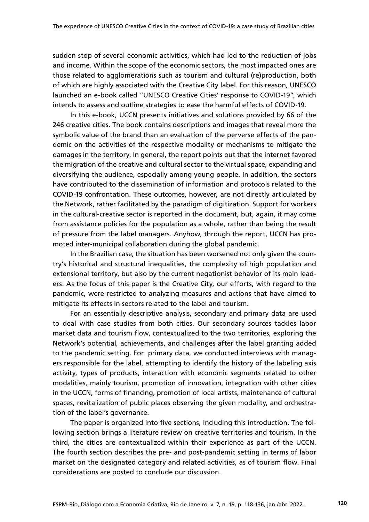sudden stop of several economic activities, which had led to the reduction of jobs and income. Within the scope of the economic sectors, the most impacted ones are those related to agglomerations such as tourism and cultural (re)production, both of which are highly associated with the Creative City label. For this reason, UNESCO launched an e-book called "UNESCO Creative Cities' response to COVID-19", which intends to assess and outline strategies to ease the harmful effects of COVID-19.

In this e-book, UCCN presents initiatives and solutions provided by 66 of the 246 creative cities. The book contains descriptions and images that reveal more the symbolic value of the brand than an evaluation of the perverse effects of the pandemic on the activities of the respective modality or mechanisms to mitigate the damages in the territory. In general, the report points out that the internet favored the migration of the creative and cultural sector to the virtual space, expanding and diversifying the audience, especially among young people. In addition, the sectors have contributed to the dissemination of information and protocols related to the COVID-19 confrontation. These outcomes, however, are not directly articulated by the Network, rather facilitated by the paradigm of digitization. Support for workers in the cultural-creative sector is reported in the document, but, again, it may come from assistance policies for the population as a whole, rather than being the result of pressure from the label managers. Anyhow, through the report, UCCN has promoted inter-municipal collaboration during the global pandemic.

In the Brazilian case, the situation has been worsened not only given the country's historical and structural inequalities, the complexity of high population and extensional territory, but also by the current negationist behavior of its main leaders. As the focus of this paper is the Creative City, our efforts, with regard to the pandemic, were restricted to analyzing measures and actions that have aimed to mitigate its effects in sectors related to the label and tourism.

For an essentially descriptive analysis, secondary and primary data are used to deal with case studies from both cities. Our secondary sources tackles labor market data and tourism flow, contextualized to the two territories, exploring the Network's potential, achievements, and challenges after the label granting added to the pandemic setting. For primary data, we conducted interviews with managers responsible for the label, attempting to identify the history of the labeling axis activity, types of products, interaction with economic segments related to other modalities, mainly tourism, promotion of innovation, integration with other cities in the UCCN, forms of financing, promotion of local artists, maintenance of cultural spaces, revitalization of public places observing the given modality, and orchestration of the label's governance.

The paper is organized into five sections, including this introduction. The following section brings a literature review on creative territories and tourism. In the third, the cities are contextualized within their experience as part of the UCCN. The fourth section describes the pre- and post-pandemic setting in terms of labor market on the designated category and related activities, as of tourism flow. Final considerations are posted to conclude our discussion.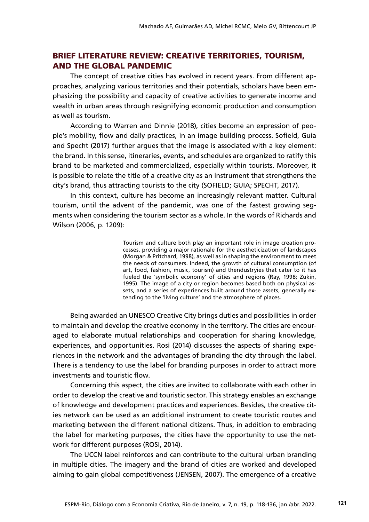## BRIEF LITERATURE REVIEW: CREATIVE TERRITORIES, TOURISM, AND THE GLOBAL PANDEMIC

The concept of creative cities has evolved in recent years. From different approaches, analyzing various territories and their potentials, scholars have been emphasizing the possibility and capacity of creative activities to generate income and wealth in urban areas through resignifying economic production and consumption as well as tourism.

According to Warren and Dinnie (2018), cities become an expression of people's mobility, flow and daily practices, in an image building process. Sofield, Guia and Specht (2017) further argues that the image is associated with a key element: the brand. In this sense, itineraries, events, and schedules are organized to ratify this brand to be marketed and commercialized, especially within tourists. Moreover, it is possible to relate the title of a creative city as an instrument that strengthens the city's brand, thus attracting tourists to the city (SOFIELD; GUIA; SPECHT, 2017).

In this context, culture has become an increasingly relevant matter. Cultural tourism, until the advent of the pandemic, was one of the fastest growing segments when considering the tourism sector as a whole. In the words of Richards and Wilson (2006, p. 1209):

> Tourism and culture both play an important role in image creation processes, providing a major rationale for the aestheticization of landscapes (Morgan & Pritchard, 1998), as well as in shaping the environment to meet the needs of consumers. Indeed, the growth of cultural consumption (of art, food, fashion, music, tourism) and thendustryies that cater to it has fueled the 'symbolic economy' of cities and regions (Ray, 1998; Zukin, 1995). The image of a city or region becomes based both on physical assets, and a series of experiences built around those assets, generally extending to the 'living culture' and the atmosphere of places.

Being awarded an UNESCO Creative City brings duties and possibilities in order to maintain and develop the creative economy in the territory. The cities are encouraged to elaborate mutual relationships and cooperation for sharing knowledge, experiences, and opportunities. Rosi (2014) discusses the aspects of sharing experiences in the network and the advantages of branding the city through the label. There is a tendency to use the label for branding purposes in order to attract more investments and touristic flow.

Concerning this aspect, the cities are invited to collaborate with each other in order to develop the creative and touristic sector. This strategy enables an exchange of knowledge and development practices and experiences. Besides, the creative cities network can be used as an additional instrument to create touristic routes and marketing between the different national citizens. Thus, in addition to embracing the label for marketing purposes, the cities have the opportunity to use the network for different purposes (ROSI, 2014).

The UCCN label reinforces and can contribute to the cultural urban branding in multiple cities. The imagery and the brand of cities are worked and developed aiming to gain global competitiveness (JENSEN, 2007). The emergence of a creative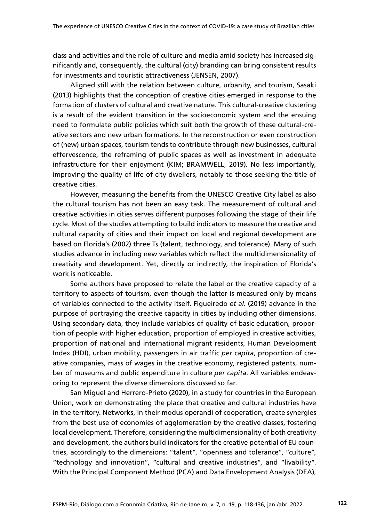class and activities and the role of culture and media amid society has increased significantly and, consequently, the cultural (city) branding can bring consistent results for investments and touristic attractiveness (JENSEN, 2007).

Aligned still with the relation between culture, urbanity, and tourism, Sasaki (2013) highlights that the conception of creative cities emerged in response to the formation of clusters of cultural and creative nature. This cultural-creative clustering is a result of the evident transition in the socioeconomic system and the ensuing need to formulate public policies which suit both the growth of these cultural-creative sectors and new urban formations. In the reconstruction or even construction of (new) urban spaces, tourism tends to contribute through new businesses, cultural effervescence, the reframing of public spaces as well as investment in adequate infrastructure for their enjoyment (KIM; BRAMWELL, 2019). No less importantly, improving the quality of life of city dwellers, notably to those seeking the title of creative cities.

However, measuring the benefits from the UNESCO Creative City label as also the cultural tourism has not been an easy task. The measurement of cultural and creative activities in cities serves different purposes following the stage of their life cycle. Most of the studies attempting to build indicators to measure the creative and cultural capacity of cities and their impact on local and regional development are based on Florida's (2002) three Ts (talent, technology, and tolerance). Many of such studies advance in including new variables which reflect the multidimensionality of creativity and development. Yet, directly or indirectly, the inspiration of Florida's work is noticeable.

Some authors have proposed to relate the label or the creative capacity of a territory to aspects of tourism, even though the latter is measured only by means of variables connected to the activity itself. Figueiredo *et al*. (2019) advance in the purpose of portraying the creative capacity in cities by including other dimensions. Using secondary data, they include variables of quality of basic education, proportion of people with higher education, proportion of employed in creative activities, proportion of national and international migrant residents, Human Development Index (HDI), urban mobility, passengers in air traffic *per capita*, proportion of creative companies, mass of wages in the creative economy, registered patents, number of museums and public expenditure in culture *per capita*. All variables endeavoring to represent the diverse dimensions discussed so far.

San Miguel and Herrero-Prieto (2020), in a study for countries in the European Union, work on demonstrating the place that creative and cultural industries have in the territory. Networks, in their modus operandi of cooperation, create synergies from the best use of economies of agglomeration by the creative classes, fostering local development. Therefore, considering the multidimensionality of both creativity and development, the authors build indicators for the creative potential of EU countries, accordingly to the dimensions: "talent", "openness and tolerance", "culture", "technology and innovation", "cultural and creative industries", and "livability". With the Principal Component Method (PCA) and Data Envelopment Analysis (DEA),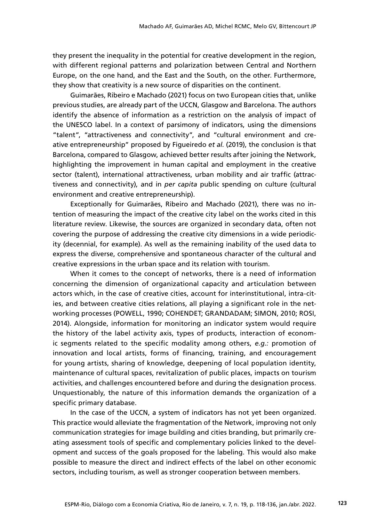they present the inequality in the potential for creative development in the region, with different regional patterns and polarization between Central and Northern Europe, on the one hand, and the East and the South, on the other. Furthermore, they show that creativity is a new source of disparities on the continent.

Guimarães, Ribeiro e Machado (2021) focus on two European cities that, unlike previous studies, are already part of the UCCN, Glasgow and Barcelona. The authors identify the absence of information as a restriction on the analysis of impact of the UNESCO label. In a context of parsimony of indicators, using the dimensions "talent", "attractiveness and connectivity", and "cultural environment and creative entrepreneurship" proposed by Figueiredo *et al*. (2019), the conclusion is that Barcelona, compared to Glasgow, achieved better results after joining the Network, highlighting the improvement in human capital and employment in the creative sector (talent), international attractiveness, urban mobility and air traffic (attractiveness and connectivity), and in *per capita* public spending on culture (cultural environment and creative entrepreneurship).

Exceptionally for Guimarães, Ribeiro and Machado (2021), there was no intention of measuring the impact of the creative city label on the works cited in this literature review. Likewise, the sources are organized in secondary data, often not covering the purpose of addressing the creative city dimensions in a wide periodicity (decennial, for example). As well as the remaining inability of the used data to express the diverse, comprehensive and spontaneous character of the cultural and creative expressions in the urban space and its relation with tourism.

When it comes to the concept of networks, there is a need of information concerning the dimension of organizational capacity and articulation between actors which, in the case of creative cities, account for interinstitutional, intra-cities, and between creative cities relations, all playing a significant role in the networking processes (POWELL, 1990; COHENDET; GRANDADAM; SIMON, 2010; ROSI, 2014). Alongside, information for monitoring an indicator system would require the history of the label activity axis, types of products, interaction of economic segments related to the specific modality among others, *e.g.:* promotion of innovation and local artists, forms of financing, training, and encouragement for young artists, sharing of knowledge, deepening of local population identity, maintenance of cultural spaces, revitalization of public places, impacts on tourism activities, and challenges encountered before and during the designation process. Unquestionably, the nature of this information demands the organization of a specific primary database.

In the case of the UCCN, a system of indicators has not yet been organized. This practice would alleviate the fragmentation of the Network, improving not only communication strategies for image building and cities branding, but primarily creating assessment tools of specific and complementary policies linked to the development and success of the goals proposed for the labeling. This would also make possible to measure the direct and indirect effects of the label on other economic sectors, including tourism, as well as stronger cooperation between members.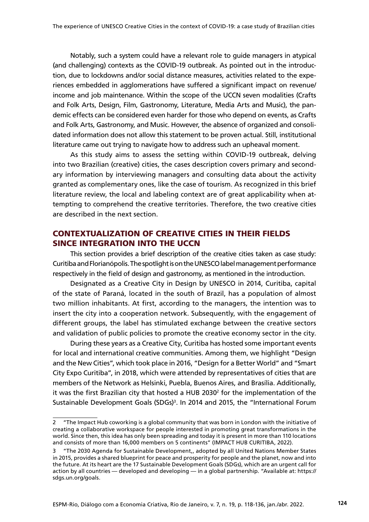Notably, such a system could have a relevant role to guide managers in atypical (and challenging) contexts as the COVID-19 outbreak. As pointed out in the introduction, due to lockdowns and/or social distance measures, activities related to the experiences embedded in agglomerations have suffered a significant impact on revenue/ income and job maintenance. Within the scope of the UCCN seven modalities (Crafts and Folk Arts, Design, Film, Gastronomy, Literature, Media Arts and Music), the pandemic effects can be considered even harder for those who depend on events, as Crafts and Folk Arts, Gastronomy, and Music. However, the absence of organized and consolidated information does not allow this statement to be proven actual. Still, institutional literature came out trying to navigate how to address such an upheaval moment.

As this study aims to assess the setting within COVID-19 outbreak, delving into two Brazilian (creative) cities, the cases description covers primary and secondary information by interviewing managers and consulting data about the activity granted as complementary ones, like the case of tourism. As recognized in this brief literature review, the local and labeling context are of great applicability when attempting to comprehend the creative territories. Therefore, the two creative cities are described in the next section.

## CONTEXTUALIZATION OF CREATIVE CITIES IN THEIR FIELDS SINCE INTEGRATION INTO THE UCCN

This section provides a brief description of the creative cities taken as case study: Curitiba and Florianópolis. The spotlight is on the UNESCO label management performance respectively in the field of design and gastronomy, as mentioned in the introduction.

Designated as a Creative City in Design by UNESCO in 2014, Curitiba, capital of the state of Paraná, located in the south of Brazil, has a population of almost two million inhabitants. At first, according to the managers, the intention was to insert the city into a cooperation network. Subsequently, with the engagement of different groups, the label has stimulated exchange between the creative sectors and validation of public policies to promote the creative economy sector in the city.

During these years as a Creative City, Curitiba has hosted some important events for local and international creative communities. Among them, we highlight "Design and the New Cities", which took place in 2016, "Design for a Better World" and "Smart City Expo Curitiba", in 2018, which were attended by representatives of cities that are members of the Network as Helsinki, Puebla, Buenos Aires, and Brasília. Additionally, it was the first Brazilian city that hosted a HUB 20302 for the implementation of the Sustainable Development Goals (SDGs)<sup>3</sup>. In 2014 and 2015, the "International Forum

<sup>2</sup> "The Impact Hub coworking is a global community that was born in London with the initiative of creating a collaborative workspace for people interested in promoting great transformations in the world. Since then, this idea has only been spreading and today it is present in more than 110 locations and consists of more than 16,000 members on 5 continents" (IMPACT HUB CURITIBA, 2022).

<sup>3</sup> ["The 2030 Agenda for Sustainable Development,,](https://sdgs.un.org/2030agenda) adopted by all United Nations Member States in 2015, provides a shared blueprint for peace and prosperity for people and the planet, now and into the future. At its heart are the 17 Sustainable Development Goals (SDGs), which are an urgent call for action by all countries — developed and developing — in a global partnership. "Available at: [https://](https://sdgs.un.org/goals) [sdgs.un.org/goals.](https://sdgs.un.org/goals)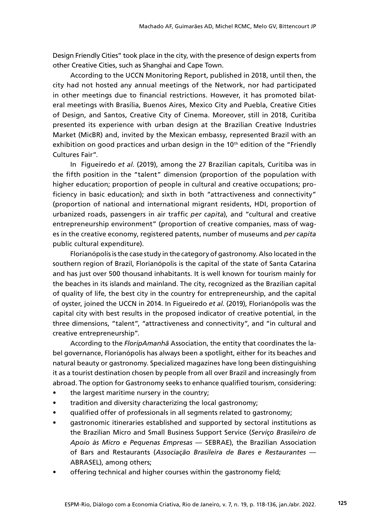Design Friendly Cities" took place in the city, with the presence of design experts from other Creative Cities, such as Shanghai and Cape Town.

According to the UCCN Monitoring Report, published in 2018, until then, the city had not hosted any annual meetings of the Network, nor had participated in other meetings due to financial restrictions. However, it has promoted bilateral meetings with Brasília, Buenos Aires, Mexico City and Puebla, Creative Cities of Design, and Santos, Creative City of Cinema. Moreover, still in 2018, Curitiba presented its experience with urban design at the Brazilian Creative Industries Market (MicBR) and, invited by the Mexican embassy, represented Brazil with an exhibition on good practices and urban design in the  $10<sup>th</sup>$  edition of the "Friendly Cultures Fair".

In Figueiredo *et al*. (2019), among the 27 Brazilian capitals, Curitiba was in the fifth position in the "talent" dimension (proportion of the population with higher education; proportion of people in cultural and creative occupations; proficiency in basic education); and sixth in both "attractiveness and connectivity" (proportion of national and international migrant residents, HDI, proportion of urbanized roads, passengers in air traffic *per capita*), and "cultural and creative entrepreneurship environment" (proportion of creative companies, mass of wages in the creative economy, registered patents, number of museums and *per capita* public cultural expenditure).

Florianópolis is the case study in the category of gastronomy. Also located in the southern region of Brazil, Florianópolis is the capital of the state of Santa Catarina and has just over 500 thousand inhabitants. It is well known for tourism mainly for the beaches in its islands and mainland. The city, recognized as the Brazilian capital of quality of life, the best city in the country for entrepreneurship, and the capital of oyster, joined the UCCN in 2014. In Figueiredo *et al*. (2019), Florianópolis was the capital city with best results in the proposed indicator of creative potential, in the three dimensions, "talent", "attractiveness and connectivity", and "in cultural and creative entrepreneurship".

According to the *FloripAmanhã* Association, the entity that coordinates the label governance, Florianópolis has always been a spotlight, either for its beaches and natural beauty or gastronomy. Specialized magazines have long been distinguishing it as a tourist destination chosen by people from all over Brazil and increasingly from abroad. The option for Gastronomy seeks to enhance qualified tourism, considering:

- the largest maritime nursery in the country;
- tradition and diversity characterizing the local gastronomy;
- qualified offer of professionals in all segments related to gastronomy;
- gastronomic itineraries established and supported by sectoral institutions as the Brazilian Micro and Small Business Support Service (*Serviço Brasileiro de Apoio às Micro e Pequenas Empresas* — SEBRAE), the Brazilian Association of Bars and Restaurants (*Associação Brasileira de Bares e Restaurantes* — ABRASEL), among others;
- offering technical and higher courses within the gastronomy field;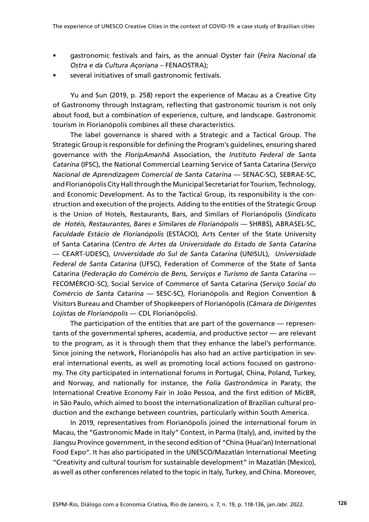- gastronomic festivals and fairs, as the annual Oyster fair (*Feira Nacional da Ostra e da Cultura Açoriana* – FENAOSTRA);
- several initiatives of small gastronomic festivals.

Yu and Sun (2019, p. 258) report the experience of Macau as a Creative City of Gastronomy through Instagram, reflecting that gastronomic tourism is not only about food, but a combination of experience, culture, and landscape. Gastronomic tourism in Florianópolis combines all these characteristics.

The label governance is shared with a Strategic and a Tactical Group. The Strategic Group is responsible for defining the Program's guidelines, ensuring shared governance with the *FloripAmanhã* Association, the *Instituto Federal de Santa Catarina* (IFSC), the National Commercial Learning Service of Santa Catarina (*Serviço Nacional de Aprendizagem Comercial de Santa Catarina* — SENAC-SC), SEBRAE-SC, and Florianópolis City Hall through the Municipal Secretariat for Tourism, Technology, and Economic Development. As to the Tactical Group, its responsibility is the construction and execution of the projects. Adding to the entities of the Strategic Group is the Union of Hotels, Restaurants, Bars, and Similars of Florianópolis (*Sindicato de Hotéis, Restaurantes, Bares e Similares de Florianópolis* — SHRBS), ABRASEL-SC, *Faculdade Estácio de Florianópolis* (ESTÁCIO), Arts Center of the State University of Santa Catarina (*Centro de Artes da Universidade do Estado de Santa Catarina*  — CEART-UDESC), *Universidade do Sul de Santa Catarina* (UNISUL), *Universidade Federal de Santa Catarina* (UFSC), Federation of Commerce of the State of Santa Catarina (*Federação do Comércio de Bens, Serviços e Turismo de Santa Catarina* — FECOMÉRCIO-SC), Social Service of Commerce of Santa Catarina (*Serviço Social do Comércio de Santa Catarina* — SESC-SC), Florianópolis and Region Convention & Visitors Bureau and Chamber of Shopkeepers of Florianópolis (*Câmara de Dirigentes Lojistas de Florianópolis* — CDL Florianópolis).

The participation of the entities that are part of the governance — representants of the governmental spheres, academia, and productive sector — are relevant to the program, as it is through them that they enhance the label's performance. Since joining the network, Florianópolis has also had an active participation in several international events, as well as promoting local actions focused on gastronomy. The city participated in international forums in Portugal, China, Poland, Turkey, and Norway, and nationally for instance, the *Folia Gastronômica* in Paraty, the International Creative Economy Fair in João Pessoa, and the first edition of MicBR, in São Paulo, which aimed to boost the internationalization of Brazilian cultural production and the exchange between countries, particularly within South America.

In 2019, representatives from Florianópolis joined the international forum in Macau, the "Gastronomic Made in Italy" Contest, in Parma (Italy), and, invited by the Jiangsu Province government, in the second edition of "China (Huai'an) International Food Expo". It has also participated in the UNESCO/Mazatlán International Meeting "Creativity and cultural tourism for sustainable development" in Mazatlán (Mexico), as well as other conferences related to the topic in Italy, Turkey, and China. Moreover,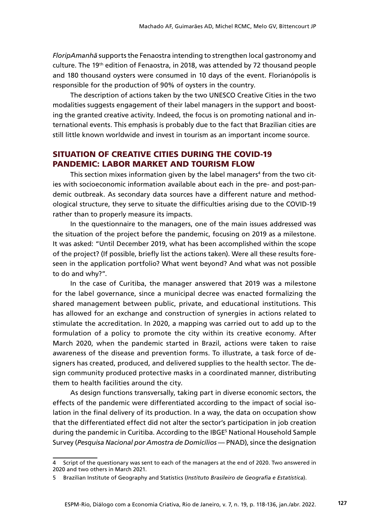*FloripAmanhã* supports the Fenaostra intending to strengthen local gastronomy and culture. The 19th edition of Fenaostra, in 2018, was attended by 72 thousand people and 180 thousand oysters were consumed in 10 days of the event. Florianópolis is responsible for the production of 90% of oysters in the country.

The description of actions taken by the two UNESCO Creative Cities in the two modalities suggests engagement of their label managers in the support and boosting the granted creative activity. Indeed, the focus is on promoting national and international events. This emphasis is probably due to the fact that Brazilian cities are still little known worldwide and invest in tourism as an important income source.

## SITUATION OF CREATIVE CITIES DURING THE COVID-19 PANDEMIC: LABOR MARKET AND TOURISM FLOW

This section mixes information given by the label managers $\rm ^4$  from the two cities with socioeconomic information available about each in the pre- and post-pandemic outbreak. As secondary data sources have a different nature and methodological structure, they serve to situate the difficulties arising due to the COVID-19 rather than to properly measure its impacts.

In the questionnaire to the managers, one of the main issues addressed was the situation of the project before the pandemic, focusing on 2019 as a milestone. It was asked: "Until December 2019, what has been accomplished within the scope of the project? (If possible, briefly list the actions taken). Were all these results foreseen in the application portfolio? What went beyond? And what was not possible to do and why?".

In the case of Curitiba, the manager answered that 2019 was a milestone for the label governance, since a municipal decree was enacted formalizing the shared management between public, private, and educational institutions. This has allowed for an exchange and construction of synergies in actions related to stimulate the accreditation. In 2020, a mapping was carried out to add up to the formulation of a policy to promote the city within its creative economy. After March 2020, when the pandemic started in Brazil, actions were taken to raise awareness of the disease and prevention forms. To illustrate, a task force of designers has created, produced, and delivered supplies to the health sector. The design community produced protective masks in a coordinated manner, distributing them to health facilities around the city.

As design functions transversally, taking part in diverse economic sectors, the effects of the pandemic were differentiated according to the impact of social isolation in the final delivery of its production. In a way, the data on occupation show that the differentiated effect did not alter the sector's participation in job creation during the pandemic in Curitiba. According to the IBGE<sup>5</sup> National Household Sample Survey (*Pesquisa Nacional por Amostra de Domicílios* — PNAD), since the designation

Script of the questionary was sent to each of the managers at the end of 2020. Two answered in 2020 and two others in March 2021.

<sup>5</sup> Brazilian Institute of Geography and Statistics (*Instituto Brasileiro de Geografia e Estatística*).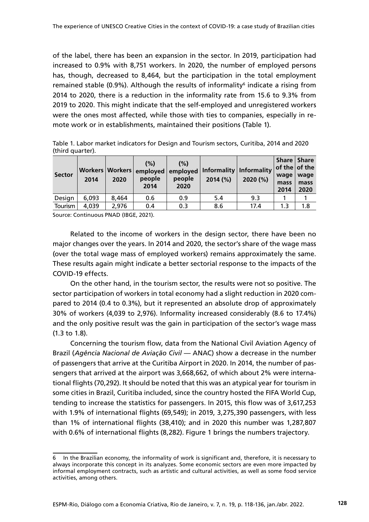of the label, there has been an expansion in the sector. In 2019, participation had increased to 0.9% with 8,751 workers. In 2020, the number of employed persons has, though, decreased to 8,464, but the participation in the total employment remained stable (0.9%). Although the results of informality<sup>6</sup> indicate a rising from 2014 to 2020, there is a reduction in the informality rate from 15.6 to 9.3% from 2019 to 2020. This might indicate that the self-employed and unregistered workers were the ones most affected, while those with ties to companies, especially in remote work or in establishments, maintained their positions (Table 1).

Table 1. Labor market indicators for Design and Tourism sectors, Curitiba, 2014 and 2020 (third quarter).

| <b>Sector</b> | 2014  | Workers   Workers  <br>2020 | (%)<br>people<br>2014 | (%)<br>emploved   emploved  <br>people<br>2020 | Informality   Informality<br>2014 (%) | 2020 (%) | $ $ of the $ $ of the<br>wage<br>mass<br>2014 | Share   Share<br>wage<br>mass<br>2020 |
|---------------|-------|-----------------------------|-----------------------|------------------------------------------------|---------------------------------------|----------|-----------------------------------------------|---------------------------------------|
| Design        | 6,093 | 8,464                       | 0.6                   | 0.9                                            | 5.4                                   | 9.3      |                                               |                                       |
| Tourism       | 4,039 | 2,976                       | 0.4                   | 0.3                                            | 8.6                                   | 17.4     | 1.3                                           | 1.8                                   |

Source: Continuous PNAD (IBGE, 2021).

Related to the income of workers in the design sector, there have been no major changes over the years. In 2014 and 2020, the sector's share of the wage mass (over the total wage mass of employed workers) remains approximately the same. These results again might indicate a better sectorial response to the impacts of the COVID-19 effects.

On the other hand, in the tourism sector, the results were not so positive. The sector participation of workers in total economy had a slight reduction in 2020 compared to 2014 (0.4 to 0.3%), but it represented an absolute drop of approximately 30% of workers (4,039 to 2,976). Informality increased considerably (8.6 to 17.4%) and the only positive result was the gain in participation of the sector's wage mass (1.3 to 1.8).

Concerning the tourism flow, data from the National Civil Aviation Agency of Brazil (*Agência Nacional de Aviação Civil —* ANAC) show a decrease in the number of passengers that arrive at the Curitiba Airport in 2020. In 2014, the number of passengers that arrived at the airport was 3,668,662, of which about 2% were international flights (70,292). It should be noted that this was an atypical year for tourism in some cities in Brazil, Curitiba included, since the country hosted the FIFA World Cup, tending to increase the statistics for passengers. In 2015, this flow was of 3,617,253 with 1.9% of international flights (69,549); in 2019, 3,275,390 passengers, with less than 1% of international flights (38,410); and in 2020 this number was 1,287,807 with 0.6% of international flights (8,282). Figure 1 brings the numbers trajectory.

<sup>6</sup> In the Brazilian economy, the informality of work is significant and, therefore, it is necessary to always incorporate this concept in its analyzes. Some economic sectors are even more impacted by informal employment contracts, such as artistic and cultural activities, as well as some food service activities, among others.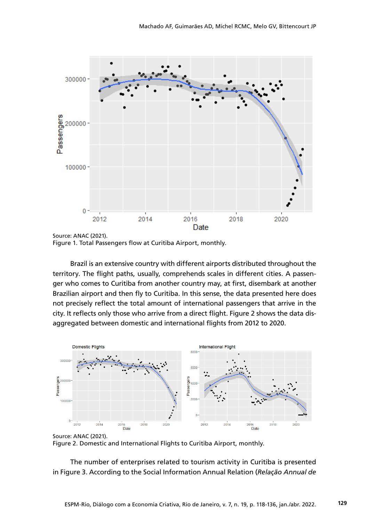

Source: ANAC (2021). Figure 1. Total Passengers flow at Curitiba Airport, monthly.

Brazil is an extensive country with different airports distributed throughout the territory. The flight paths, usually, comprehends scales in different cities. A passenger who comes to Curitiba from another country may, at first, disembark at another Brazilian airport and then fly to Curitiba. In this sense, the data presented here does not precisely reflect the total amount of international passengers that arrive in the city. It reflects only those who arrive from a direct flight. Figure 2 shows the data disaggregated between domestic and international flights from 2012 to 2020.



Source: ANAC (2021). Figure 2. Domestic and International Flights to Curitiba Airport, monthly. Source: ANAC (2021).

The number of enterprises related to tourism activity in Curitiba is presented in Figure 3. According to the Social Information Annual Relation (*Relação Annual de*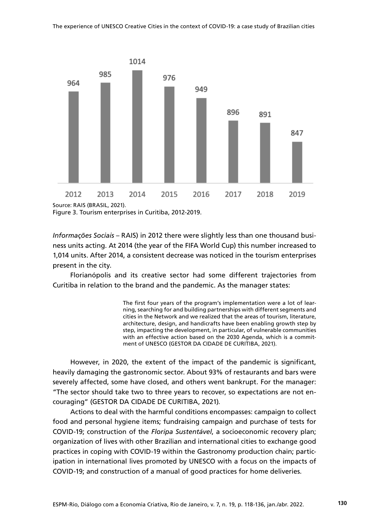

Figure 3. Tourism enterprises in Curitiba, 2012-2019. Source: RAIS (BRASIL, 2021).

*Informações Sociais – RAIS*) in 2012 there were slightly less than one thousand business units acting. At 2014 (the year of the FIFA World Cup) this number increased to 1,014 units. After 2014, a consistent decrease was noticed in the tourism enterprises present in the city.

Florianópolis and its creative sector had some different trajectories from Curitiba in relation to the brand and the pandemic. As the manager states:

> The first four years of the program's implementation were a lot of learning, searching for and building partnerships with different segments and cities in the Network and we realized that the areas of tourism, literature, architecture, design, and handicrafts have been enabling growth step by step, impacting the development, in particular, of vulnerable communities with an effective action based on the 2030 Agenda, which is a commitment of UNESCO (GESTOR DA CIDADE DE CURITIBA, 2021).

However, in 2020, the extent of the impact of the pandemic is significant, heavily damaging the gastronomic sector. About 93% of restaurants and bars were severely affected, some have closed, and others went bankrupt. For the manager: "The sector should take two to three years to recover, so expectations are not encouraging" (GESTOR DA CIDADE DE CURITIBA, 2021)*.*

Actions to deal with the harmful conditions encompasses: campaign to collect food and personal hygiene items; fundraising campaign and purchase of tests for COVID-19; construction of the *Floripa Sustentável*, a socioeconomic recovery plan; organization of lives with other Brazilian and international cities to exchange good practices in coping with COVID-19 within the Gastronomy production chain; participation in international lives promoted by UNESCO with a focus on the impacts of COVID-19; and construction of a manual of good practices for home deliveries*.*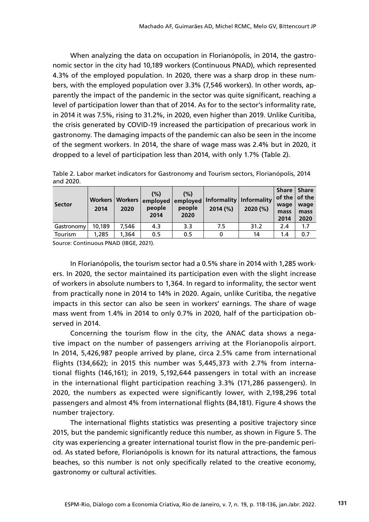When analyzing the data on occupation in Florianópolis, in 2014, the gastronomic sector in the city had 10,189 workers (Continuous PNAD), which represented 4.3% of the employed population. In 2020, there was a sharp drop in these numbers, with the employed population over 3.3% (7,546 workers). In other words, apparently the impact of the pandemic in the sector was quite significant, reaching a level of participation lower than that of 2014. As for to the sector's informality rate, in 2014 it was 7.5%, rising to 31.2%, in 2020, even higher than 2019. Unlike Curitiba, the crisis generated by COVID-19 increased the participation of precarious work in gastronomy. The damaging impacts of the pandemic can also be seen in the income of the segment workers. In 2014, the share of wage mass was 2.4% but in 2020, it dropped to a level of participation less than 2014, with only 1.7% (Table 2).

Table 2. Labor market indicators for Gastronomy and Tourism sectors, Florianópolis, 2014 and 2020.

| <b>Sector</b>  | Workers  <br>2014 | Workers<br>2020 | (%)<br>people<br>2014 | (%)<br>people<br>2020 | 2014 (%) | employed employed   Informality   Informality<br>2020(%) | Share  <br>$\vert$ of the $\vert$ of the<br>wage<br>mass<br>2014 | <b>Share</b><br>wage<br>mass<br>2020 |
|----------------|-------------------|-----------------|-----------------------|-----------------------|----------|----------------------------------------------------------|------------------------------------------------------------------|--------------------------------------|
| Gastronomy     | 10.189            | 7.546           | 4.3                   | 3.3                   | 7.5      | 31.2                                                     | 2.4                                                              | 1.7                                  |
| <b>Tourism</b> | 1,285             | 1,364           | 0.5                   | 0.5                   |          | 14                                                       | 1.4                                                              | 0.7                                  |

Source: Continuous PNAD (IBGE, 2021).

In Florianópolis, the tourism sector had a 0.5% share in 2014 with 1,285 workers. In 2020, the sector maintained its participation even with the slight increase of workers in absolute numbers to 1,364. In regard to informality, the sector went from practically none in 2014 to 14% in 2020. Again, unlike Curitiba, the negative impacts in this sector can also be seen in workers' earnings. The share of wage mass went from 1.4% in 2014 to only 0.7% in 2020, half of the participation observed in 2014.

Concerning the tourism flow in the city, the ANAC data shows a negative impact on the number of passengers arriving at the Florianopolis airport. In 2014, 5,426,987 people arrived by plane, circa 2.5% came from international flights (134,662); in 2015 this number was 5,445,373 with 2.7% from international flights (146,161); in 2019, 5,192,644 passengers in total with an increase in the international flight participation reaching 3.3% (171,286 passengers). In 2020, the numbers as expected were significantly lower, with 2,198,296 total passengers and almost 4% from international flights (84,181). Figure 4 shows the number trajectory.

The international flights statistics was presenting a positive trajectory since 2015, but the pandemic significantly reduce this number, as shown in Figure 5. The city was experiencing a greater international tourist flow in the pre-pandemic period. As stated before, Florianópolis is known for its natural attractions, the famous beaches, so this number is not only specifically related to the creative economy, gastronomy or cultural activities.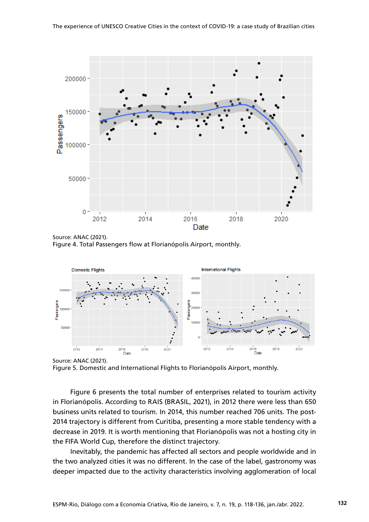

Source: ANAC (2021). Figure 4. Total Passengers flow at Florianópolis Airport, monthly.



Source: ANAC (2021). Source: ANAC (2021).

Figure 5. Domestic and International Flights to Florianópolis Airport, monthly. **Figure 5.** Domestic and International Flights to Florianópolis Airport, monthly.

Figure 6 presents the total number of enterprises related to tourism activity in Florianópolis. According to RAIS (BRASIL, 2021), in 2012 there were less than 650 business units related to tourism. In 2014, this number reached 706 units. The post-2014 trajectory is different from Curitiba, presenting a more stable tendency with a decrease in 2019. It is worth mentioning that Florianópolis was not a hosting city in the FIFA World Cup, therefore the distinct trajectory.

Inevitably, the pandemic has affected all sectors and people worldwide and in the two analyzed cities it was no different. In the case of the label, gastronomy was deeper impacted due to the activity characteristics involving agglomeration of local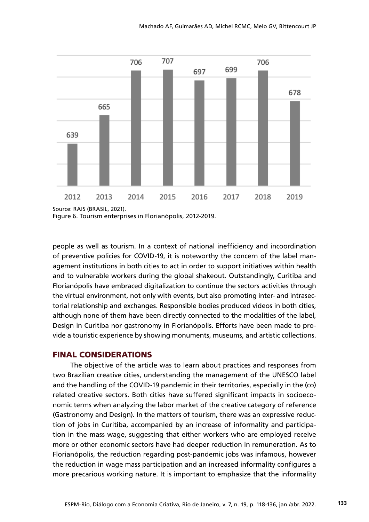

Figure 6. Tourism enterprises in Florianópolis, 2012-2019.

people as well as tourism. In a context of national inefficiency and incoordination of preventive policies for COVID-19, it is noteworthy the concern of the label management institutions in both cities to act in order to support initiatives within health and to vulnerable workers during the global shakeout. Outstandingly, Curitiba and Florianópolis have embraced digitalization to continue the sectors activities through the virtual environment, not only with events, but also promoting inter- and intrasectorial relationship and exchanges. Responsible bodies produced videos in both cities, although none of them have been directly connected to the modalities of the label, Design in Curitiba nor gastronomy in Florianópolis. Efforts have been made to provide a touristic experience by showing monuments, museums, and artistic collections.

#### FINAL CONSIDERATIONS

The objective of the article was to learn about practices and responses from two Brazilian creative cities, understanding the management of the UNESCO label and the handling of the COVID-19 pandemic in their territories, especially in the (co) related creative sectors. Both cities have suffered significant impacts in socioeconomic terms when analyzing the labor market of the creative category of reference (Gastronomy and Design). In the matters of tourism, there was an expressive reduction of jobs in Curitiba, accompanied by an increase of informality and participation in the mass wage, suggesting that either workers who are employed receive more or other economic sectors have had deeper reduction in remuneration. As to Florianópolis, the reduction regarding post-pandemic jobs was infamous, however the reduction in wage mass participation and an increased informality configures a more precarious working nature. It is important to emphasize that the informality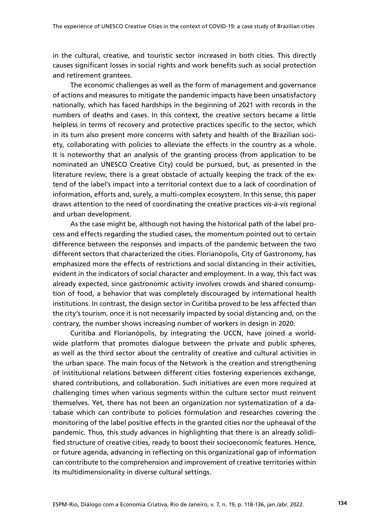in the cultural, creative, and touristic sector increased in both cities. This directly causes significant losses in social rights and work benefits such as social protection and retirement grantees.

The economic challenges as well as the form of management and governance of actions and measures to mitigate the pandemic impacts have been unsatisfactory nationally, which has faced hardships in the beginning of 2021 with records in the numbers of deaths and cases. In this context, the creative sectors became a little helpless in terms of recovery and protective practices specific to the sector, which in its turn also present more concerns with safety and health of the Brazilian society, collaborating with policies to alleviate the effects in the country as a whole. It is noteworthy that an analysis of the granting process (from application to be nominated an UNESCO Creative City) could be pursued, but, as presented in the literature review, there is a great obstacle of actually keeping the track of the extend of the label's impact into a territorial context due to a lack of coordination of information, efforts and, surely, a multi-complex ecosystem. In this sense, this paper draws attention to the need of coordinating the creative practices *vis-à-vis* regional and urban development.

As the case might be, although not having the historical path of the label process and effects regarding the studied cases, the momentum pointed out to certain difference between the responses and impacts of the pandemic between the two different sectors that characterized the cities. Florianópolis, City of Gastronomy, has emphasized more the effects of restrictions and social distancing in their activities, evident in the indicators of social character and employment. In a way, this fact was already expected, since gastronomic activity involves crowds and shared consumption of food, a behavior that was completely discouraged by international health institutions. In contrast, the design sector in Curitiba proved to be less affected than the city's tourism, once it is not necessarily impacted by social distancing and, on the contrary, the number shows increasing number of workers in design in 2020.

Curitiba and Florianópolis, by integrating the UCCN, have joined a worldwide platform that promotes dialogue between the private and public spheres, as well as the third sector about the centrality of creative and cultural activities in the urban space. The main focus of the Network is the creation and strengthening of institutional relations between different cities fostering experiences exchange, shared contributions, and collaboration. Such initiatives are even more required at challenging times when various segments within the culture sector must reinvent themselves. Yet, there has not been an organization nor systematization of a database which can contribute to policies formulation and researches covering the monitoring of the label positive effects in the granted cities nor the upheaval of the pandemic. Thus, this study advances in highlighting that there is an already solidified structure of creative cities, ready to boost their socioeconomic features. Hence, or future agenda, advancing in reflecting on this organizational gap of information can contribute to the comprehension and improvement of creative territories within its multidimensionality in diverse cultural settings.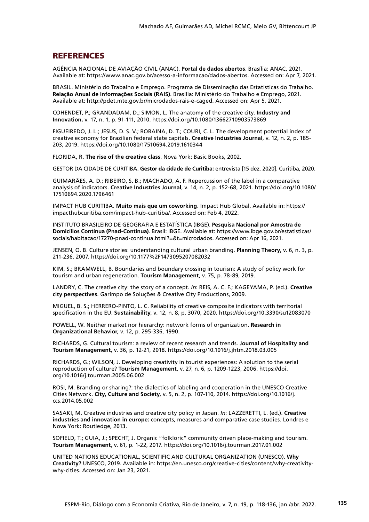#### **REFERENCES**

AGÊNCIA NACIONAL DE AVIAÇÃO CIVIL (ANAC). **Portal de dados abertos**. Brasília: ANAC, 2021. Available at:<https://www.anac.gov.br/acesso-a-informacao/dados-abertos>. Accessed on: Apr 7, 2021.

BRASIL. Ministério do Trabalho e Emprego. Programa de Disseminação das Estatísticas do Trabalho. **Relação Anual de Informações Sociais (RAIS)**. Brasília: Ministério do Trabalho e Emprego, 2021. Available at: [http://pdet.mte.gov.br/microdados-rais-e-caged.](http://pdet.mte.gov.br/microdados-rais-e-caged) Accessed on: Apr 5, 2021.

COHENDET, P.; GRANDADAM, D.; SIMON, L. The anatomy of the creative city. **Industry and Innovation,** v. 17, n. 1, p. 91-111, 2010. <https://doi.org/10.1080/13662710903573869>

FIGUEIREDO, J. L.; JESUS, D. S. V.; ROBAINA, D. T.; COURI, C. L. The development potential index of creative economy for Brazilian federal state capitals. **Creative Industries Journal**, v. 12, n. 2, p. 185- 203, 2019. <https://doi.org/10.1080/17510694.2019.1610344>

FLORIDA, R. **The rise of the creative class**. Nova York: Basic Books, 2002.

GESTOR DA CIDADE DE CURITIBA. **Gestor da cidade de Curitiba:** entrevista [15 dez. 2020]. Curitiba, 2020.

GUIMARÃES, A. D.; RIBEIRO, S. B.; MACHADO, A. F. Repercussion of the label in a comparative analysis of indicators. **Creative Industries Journal**, v. 14, n. 2, p. 152-68, 2021. [https://doi.org/10.1080/](https://doi.org/10.1080/17510694.2020.1796461) [17510694.2020.1796461](https://doi.org/10.1080/17510694.2020.1796461)

IMPACT HUB CURITIBA. **Muito mais que um coworking**. Impact Hub Global. Available in: [https://](https://impacthubcuritiba.com/impact-hub-curitiba/) [impacthubcuritiba.com/impact-hub-curitiba/.](https://impacthubcuritiba.com/impact-hub-curitiba/) Accessed on: Feb 4, 2022.

INSTITUTO BRASILEIRO DE GEOGRAFIA E ESTATÍSTICA (IBGE). **Pesquisa Nacional por Amostra de Domicílios Contínua (Pnad-Contínua)**. Brasil: IBGE. Available at: [https://www.ibge.gov.br/estatisticas/](https://www.ibge.gov.br/estatisticas/sociais/habitacao/17270-pnad-continua.html?=&t=microdados) [sociais/habitacao/17270-pnad-continua.html?=&t=microdados.](https://www.ibge.gov.br/estatisticas/sociais/habitacao/17270-pnad-continua.html?=&t=microdados) Accessed on: Apr 16, 2021.

JENSEN, O. B. Culture stories: understanding cultural urban branding. **Planning Theory**, v. 6, n. 3, p. 211-236, 2007. <https://doi.org/10.1177%2F1473095207082032>

KIM, S.; BRAMWELL, B. Boundaries and boundary crossing in tourism: A study of policy work for tourism and urban regeneration. **Tourism Management**, v. 75, p. 78-89, 2019.

LANDRY, C. The creative city: the story of a concept. *In*: REIS, A. C. F.; KAGEYAMA, P. (ed.). **Creative city perspectives**. Garimpo de Soluções & Creative City Productions, 2009.

MIGUEL, B. S.; HERRERO-PINTO, L. C. Reliability of creative composite indicators with territorial specification in the EU. **Sustainability**, v. 12, n. 8, p. 3070, 2020.<https://doi.org/10.3390/su12083070>

POWELL, W. Neither market nor hierarchy: network forms of organization. **Research in Organizational Behavior**, v. 12, p. 295-336, 1990.

RICHARDS, G. Cultural tourism: a review of recent research and trends. **Journal of Hospitality and Tourism Management,** v. 36, p. 12-21, 2018. <https://doi.org/10.1016/j.jhtm.2018.03.005>

RICHARDS, G.; WILSON, J. Developing creativity in tourist experiences: A solution to the serial reproduction of culture? **Tourism Management**, v. 27, n. 6, p. 1209-1223, 2006. [https://doi.](https://doi.org/10.1016/j.tourman.2005.06.002) [org/10.1016/j.tourman.2005.06.002](https://doi.org/10.1016/j.tourman.2005.06.002)

ROSI, M. Branding or sharing?: the dialectics of labeling and cooperation in the UNESCO Creative Cities Network. **City, Culture and Society**, v. 5, n. 2, p. 107-110, 2014. [https://doi.org/10.1016/j.](https://doi.org/10.1016/j.ccs.2014.05.002) [ccs.2014.05.002](https://doi.org/10.1016/j.ccs.2014.05.002)

SASAKI, M. Creative industries and creative city policy in Japan. *In*: LAZZERETTI, L. (ed.). **Creative industries and innovation in europe:** concepts, measures and comparative case studies. Londres e Nova York: Routledge, 2013.

SOFIELD, T.; GUIA, J.; SPECHT, J. Organic "folkloric" community driven place-making and tourism. **Tourism Management**, v. 61, p. 1-22, 2017. <https://doi.org/10.1016/j.tourman.2017.01.002>

UNITED NATIONS EDUCATIONAL, SCIENTIFIC AND CULTURAL ORGANIZATION (UNESCO). **Why Creativity?** UNESCO, 2019. Available in: [https://en.unesco.org/creative-cities/content/why-creativity](https://en.unesco.org/creative-cities/content/why-creativity-why-cities)[why-cities.](https://en.unesco.org/creative-cities/content/why-creativity-why-cities) Accessed on: Jan 23, 2021.